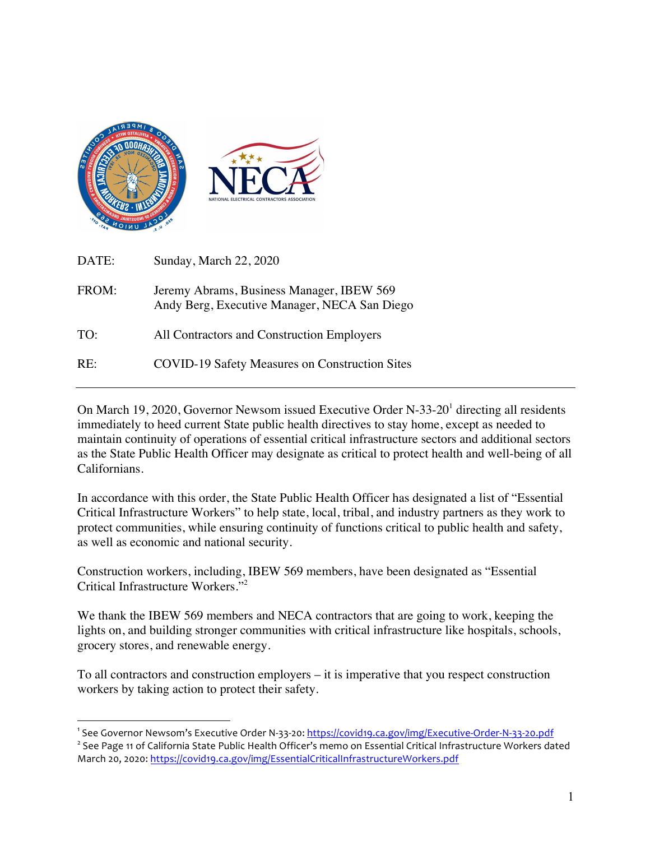

1

| DATE: | Sunday, March 22, 2020                                                                    |
|-------|-------------------------------------------------------------------------------------------|
| FROM: | Jeremy Abrams, Business Manager, IBEW 569<br>Andy Berg, Executive Manager, NECA San Diego |
| TO:   | All Contractors and Construction Employers                                                |
| RE:   | <b>COVID-19 Safety Measures on Construction Sites</b>                                     |

On March 19, 2020, Governor Newsom issued Executive Order N-33-20<sup>1</sup> directing all residents immediately to heed current State public health directives to stay home, except as needed to maintain continuity of operations of essential critical infrastructure sectors and additional sectors as the State Public Health Officer may designate as critical to protect health and well-being of all Californians.

In accordance with this order, the State Public Health Officer has designated a list of "Essential Critical Infrastructure Workers" to help state, local, tribal, and industry partners as they work to protect communities, while ensuring continuity of functions critical to public health and safety, as well as economic and national security.

Construction workers, including, IBEW 569 members, have been designated as "Essential Critical Infrastructure Workers."<sup>2</sup>

We thank the IBEW 569 members and NECA contractors that are going to work, keeping the lights on, and building stronger communities with critical infrastructure like hospitals, schools, grocery stores, and renewable energy.

To all contractors and construction employers – it is imperative that you respect construction workers by taking action to protect their safety.

<sup>&</sup>lt;sup>1</sup> See Governor Newsom's Executive Order N-33-20: <u>https://covid19.ca.gov/img/Executive-Order-N-33-20.pdf</u>

<sup>&</sup>lt;sup>2</sup> See Page 11 of California State Public Health Officer's memo on Essential Critical Infrastructure Workers dated March 20, 2020: https://covid19.ca.gov/img/EssentialCriticalInfrastructureWorkers.pdf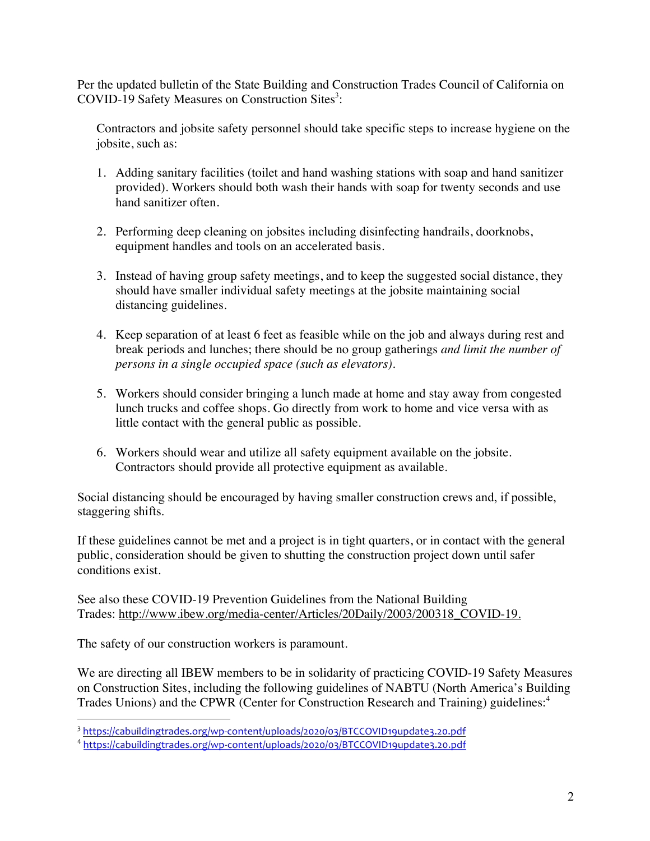Per the updated bulletin of the State Building and Construction Trades Council of California on COVID-19 Safety Measures on Construction Sites<sup>3</sup>:

Contractors and jobsite safety personnel should take specific steps to increase hygiene on the jobsite, such as:

- 1. Adding sanitary facilities (toilet and hand washing stations with soap and hand sanitizer provided). Workers should both wash their hands with soap for twenty seconds and use hand sanitizer often.
- 2. Performing deep cleaning on jobsites including disinfecting handrails, doorknobs, equipment handles and tools on an accelerated basis.
- 3. Instead of having group safety meetings, and to keep the suggested social distance, they should have smaller individual safety meetings at the jobsite maintaining social distancing guidelines.
- 4. Keep separation of at least 6 feet as feasible while on the job and always during rest and break periods and lunches; there should be no group gatherings *and limit the number of persons in a single occupied space (such as elevators)*.
- 5. Workers should consider bringing a lunch made at home and stay away from congested lunch trucks and coffee shops. Go directly from work to home and vice versa with as little contact with the general public as possible.
- 6. Workers should wear and utilize all safety equipment available on the jobsite. Contractors should provide all protective equipment as available.

Social distancing should be encouraged by having smaller construction crews and, if possible, staggering shifts.

If these guidelines cannot be met and a project is in tight quarters, or in contact with the general public, consideration should be given to shutting the construction project down until safer conditions exist.

See also these COVID-19 Prevention Guidelines from the National Building Trades: http://www.ibew.org/media-center/Articles/20Daily/2003/200318\_COVID-19.

The safety of our construction workers is paramount.

<u>.</u>

We are directing all IBEW members to be in solidarity of practicing COVID-19 Safety Measures on Construction Sites, including the following guidelines of NABTU (North America's Building Trades Unions) and the CPWR (Center for Construction Research and Training) guidelines:<sup>4</sup>

<sup>3</sup> https://cabuildingtrades.org/wp-content/uploads/2020/03/BTCCOVID19update3.20.pdf

<sup>4</sup> https://cabuildingtrades.org/wp-content/uploads/2020/03/BTCCOVID19update3.20.pdf